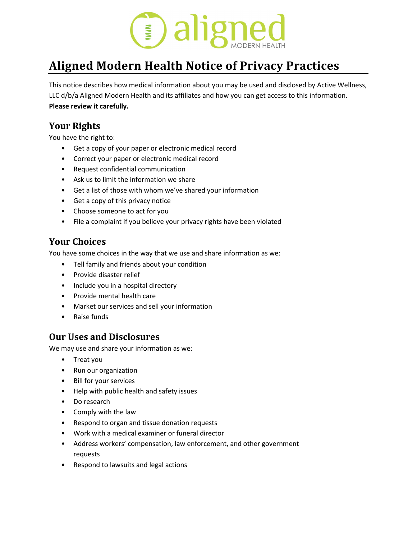

# **Aligned Modern Health Notice of Privacy Practices**

This notice describes how medical information about you may be used and disclosed by Active Wellness, LLC d/b/a Aligned Modern Health and its affiliates and how you can get access to this information. **Please review it carefully.**

# **Your Rights**

You have the right to:

- Get a copy of your paper or electronic medical record
- Correct your paper or electronic medical record
- Request confidential communication
- Ask us to limit the information we share
- Get a list of those with whom we've shared your information
- Get a copy of this privacy notice
- Choose someone to act for you
- File a complaint if you believe your privacy rights have been violated

### **Your Choices**

You have some choices in the way that we use and share information as we:

- Tell family and friends about your condition
- Provide disaster relief
- Include you in a hospital directory
- Provide mental health care
- Market our services and sell your information
- Raise funds

# **Our Uses and Disclosures**

We may use and share your information as we:

- Treat you
- Run our organization
- Bill for your services
- Help with public health and safety issues
- Do research
- Comply with the law
- Respond to organ and tissue donation requests
- Work with a medical examiner or funeral director
- Address workers' compensation, law enforcement, and other government requests
- Respond to lawsuits and legal actions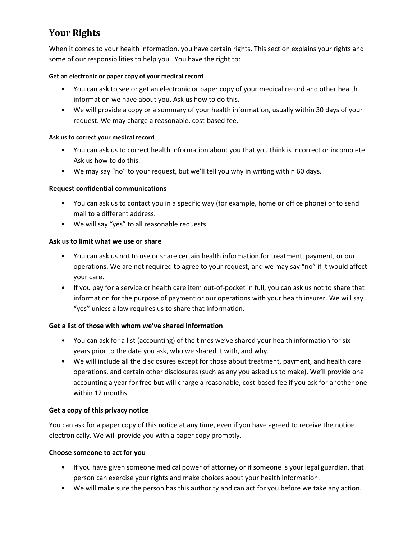# **Your Rights**

When it comes to your health information, you have certain rights. This section explains your rights and some of our responsibilities to help you. You have the right to:

#### **Get an electronic or paper copy of your medical record**

- You can ask to see or get an electronic or paper copy of your medical record and other health information we have about you. Ask us how to do this.
- We will provide a copy or a summary of your health information, usually within 30 days of your request. We may charge a reasonable, cost-based fee.

#### **Ask us to correct your medical record**

- You can ask us to correct health information about you that you think is incorrect or incomplete. Ask us how to do this.
- We may say "no" to your request, but we'll tell you why in writing within 60 days.

#### **Request confidential communications**

- You can ask us to contact you in a specific way (for example, home or office phone) or to send mail to a different address.
- We will say "yes" to all reasonable requests.

#### **Ask us to limit what we use or share**

- You can ask us not to use or share certain health information for treatment, payment, or our operations. We are not required to agree to your request, and we may say "no" if it would affect your care.
- If you pay for a service or health care item out-of-pocket in full, you can ask us not to share that information for the purpose of payment or our operations with your health insurer. We will say "yes" unless a law requires us to share that information.

#### **Get a list of those with whom we've shared information**

- You can ask for a list (accounting) of the times we've shared your health information for six years prior to the date you ask, who we shared it with, and why.
- We will include all the disclosures except for those about treatment, payment, and health care operations, and certain other disclosures (such as any you asked us to make). We'll provide one accounting a year for free but will charge a reasonable, cost-based fee if you ask for another one within 12 months.

#### **Get a copy of this privacy notice**

You can ask for a paper copy of this notice at any time, even if you have agreed to receive the notice electronically. We will provide you with a paper copy promptly.

#### **Choose someone to act for you**

- If you have given someone medical power of attorney or if someone is your legal guardian, that person can exercise your rights and make choices about your health information.
- We will make sure the person has this authority and can act for you before we take any action.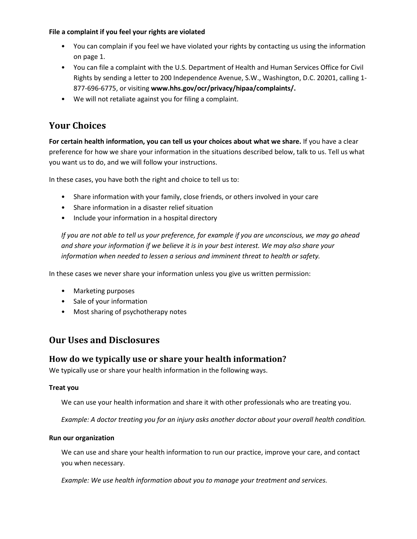#### **File a complaint if you feel your rights are violated**

- You can complain if you feel we have violated your rights by contacting us using the information on page 1.
- You can file a complaint with the U.S. Department of Health and Human Services Office for Civil Rights by sending a letter to 200 Independence Avenue, S.W., Washington, D.C. 20201, calling 1- 877-696-6775, or visiting **www.hhs.gov/ocr/privacy/hipaa/complaints/.**
- We will not retaliate against you for filing a complaint.

# **Your Choices**

**For certain health information, you can tell us your choices about what we share.** If you have a clear preference for how we share your information in the situations described below, talk to us. Tell us what you want us to do, and we will follow your instructions.

In these cases, you have both the right and choice to tell us to:

- Share information with your family, close friends, or others involved in your care
- Share information in a disaster relief situation
- Include your information in a hospital directory

*If you are not able to tell us your preference, for example if you are unconscious, we may go ahead and share your information if we believe it is in your best interest. We may also share your information when needed to lessen a serious and imminent threat to health or safety.*

In these cases we never share your information unless you give us written permission:

- Marketing purposes
- Sale of your information
- Most sharing of psychotherapy notes

# **Our Uses and Disclosures**

### **How do we typically use or share your health information?**

We typically use or share your health information in the following ways.

#### **Treat you**

We can use your health information and share it with other professionals who are treating you.

*Example: A doctor treating you for an injury asks another doctor about your overall health condition.*

#### **Run our organization**

We can use and share your health information to run our practice, improve your care, and contact you when necessary.

*Example: We use health information about you to manage your treatment and services.*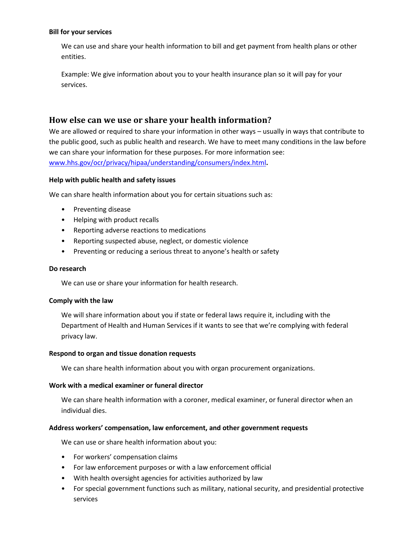#### **Bill for your services**

We can use and share your health information to bill and get payment from health plans or other entities.

Example: We give information about you to your health insurance plan so it will pay for your services.

### **How else can we use or share your health information?**

We are allowed or required to share your information in other ways – usually in ways that contribute to the public good, such as public health and research. We have to meet many conditions in the law before we can share your information for these purposes. For more information see: [www.hhs.gov/ocr/privacy/hipaa/understanding/consumers/index.html](http://www.hhs.gov/ocr/privacy/hipaa/understanding/consumers/index.html)**.**

#### **Help with public health and safety issues**

We can share health information about you for certain situations such as:

- Preventing disease
- Helping with product recalls
- Reporting adverse reactions to medications
- Reporting suspected abuse, neglect, or domestic violence
- Preventing or reducing a serious threat to anyone's health or safety

#### **Do research**

We can use or share your information for health research.

#### **Comply with the law**

We will share information about you if state or federal laws require it, including with the Department of Health and Human Services if it wants to see that we're complying with federal privacy law.

#### **Respond to organ and tissue donation requests**

We can share health information about you with organ procurement organizations.

#### **Work with a medical examiner or funeral director**

We can share health information with a coroner, medical examiner, or funeral director when an individual dies.

#### **Address workers' compensation, law enforcement, and other government requests**

We can use or share health information about you:

- For workers' compensation claims
- For law enforcement purposes or with a law enforcement official
- With health oversight agencies for activities authorized by law
- For special government functions such as military, national security, and presidential protective services